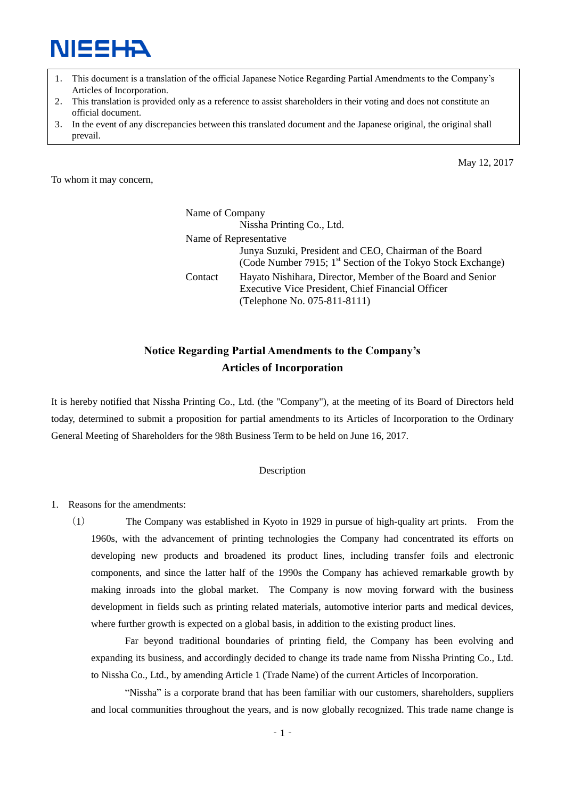

- 1. This document is a translation of the official Japanese Notice Regarding Partial Amendments to the Company's Articles of Incorporation.
- 2. This translation is provided only as a reference to assist shareholders in their voting and does not constitute an official document.
- 3. In the event of any discrepancies between this translated document and the Japanese original, the original shall prevail.

To whom it may concern,

4.

May 12, 2017

Name of Company Nissha Printing Co., Ltd. Name of Representative Junya Suzuki, President and CEO, Chairman of the Board (Code Number 7915;  $1<sup>st</sup>$  Section of the Tokyo Stock Exchange) Contact Hayato Nishihara, Director, Member of the Board and Senior Executive Vice President, Chief Financial Officer (Telephone No. 075-811-8111)

### **Notice Regarding Partial Amendments to the Company's Articles of Incorporation**

It is hereby notified that Nissha Printing Co., Ltd. (the "Company"), at the meeting of its Board of Directors held today, determined to submit a proposition for partial amendments to its Articles of Incorporation to the Ordinary General Meeting of Shareholders for the 98th Business Term to be held on June 16, 2017.

#### Description

1. Reasons for the amendments:

(1) The Company was established in Kyoto in 1929 in pursue of high-quality art prints. From the 1960s, with the advancement of printing technologies the Company had concentrated its efforts on developing new products and broadened its product lines, including transfer foils and electronic components, and since the latter half of the 1990s the Company has achieved remarkable growth by making inroads into the global market. The Company is now moving forward with the business development in fields such as printing related materials, automotive interior parts and medical devices, where further growth is expected on a global basis, in addition to the existing product lines.

Far beyond traditional boundaries of printing field, the Company has been evolving and expanding its business, and accordingly decided to change its trade name from Nissha Printing Co., Ltd. to Nissha Co., Ltd., by amending Article 1 (Trade Name) of the current Articles of Incorporation.

"Nissha" is a corporate brand that has been familiar with our customers, shareholders, suppliers and local communities throughout the years, and is now globally recognized. This trade name change is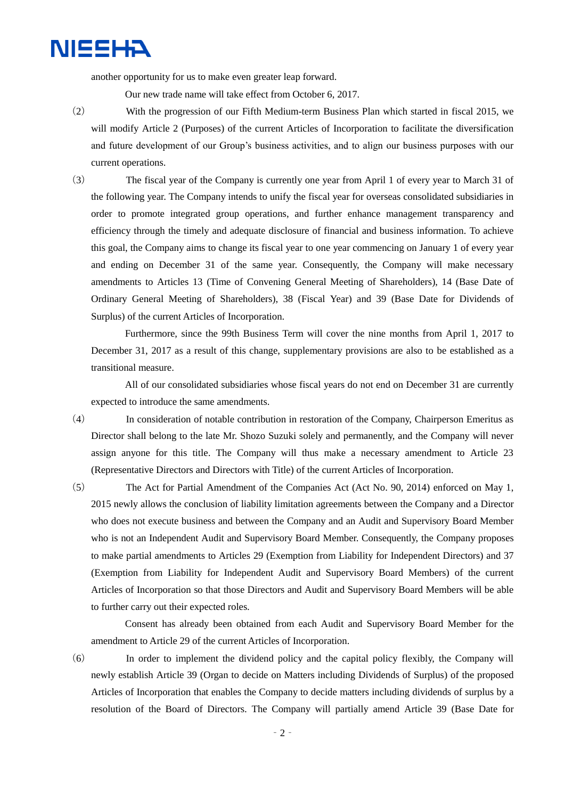another opportunity for us to make even greater leap forward.

Our new trade name will take effect from October 6, 2017.

- (2) With the progression of our Fifth Medium-term Business Plan which started in fiscal 2015, we will modify Article 2 (Purposes) of the current Articles of Incorporation to facilitate the diversification and future development of our Group's business activities, and to align our business purposes with our current operations.
- (3) The fiscal year of the Company is currently one year from April 1 of every year to March 31 of the following year. The Company intends to unify the fiscal year for overseas consolidated subsidiaries in order to promote integrated group operations, and further enhance management transparency and efficiency through the timely and adequate disclosure of financial and business information. To achieve this goal, the Company aims to change its fiscal year to one year commencing on January 1 of every year and ending on December 31 of the same year. Consequently, the Company will make necessary amendments to Articles 13 (Time of Convening General Meeting of Shareholders), 14 (Base Date of Ordinary General Meeting of Shareholders), 38 (Fiscal Year) and 39 (Base Date for Dividends of Surplus) of the current Articles of Incorporation.

Furthermore, since the 99th Business Term will cover the nine months from April 1, 2017 to December 31, 2017 as a result of this change, supplementary provisions are also to be established as a transitional measure.

All of our consolidated subsidiaries whose fiscal years do not end on December 31 are currently expected to introduce the same amendments.

(4) In consideration of notable contribution in restoration of the Company, Chairperson Emeritus as Director shall belong to the late Mr. Shozo Suzuki solely and permanently, and the Company will never assign anyone for this title. The Company will thus make a necessary amendment to Article 23 (Representative Directors and Directors with Title) of the current Articles of Incorporation.

(5) The Act for Partial Amendment of the Companies Act (Act No. 90, 2014) enforced on May 1, 2015 newly allows the conclusion of liability limitation agreements between the Company and a Director who does not execute business and between the Company and an Audit and Supervisory Board Member who is not an Independent Audit and Supervisory Board Member. Consequently, the Company proposes to make partial amendments to Articles 29 (Exemption from Liability for Independent Directors) and 37 (Exemption from Liability for Independent Audit and Supervisory Board Members) of the current Articles of Incorporation so that those Directors and Audit and Supervisory Board Members will be able to further carry out their expected roles.

Consent has already been obtained from each Audit and Supervisory Board Member for the amendment to Article 29 of the current Articles of Incorporation.

(6) In order to implement the dividend policy and the capital policy flexibly, the Company will newly establish Article 39 (Organ to decide on Matters including Dividends of Surplus) of the proposed Articles of Incorporation that enables the Company to decide matters including dividends of surplus by a resolution of the Board of Directors. The Company will partially amend Article 39 (Base Date for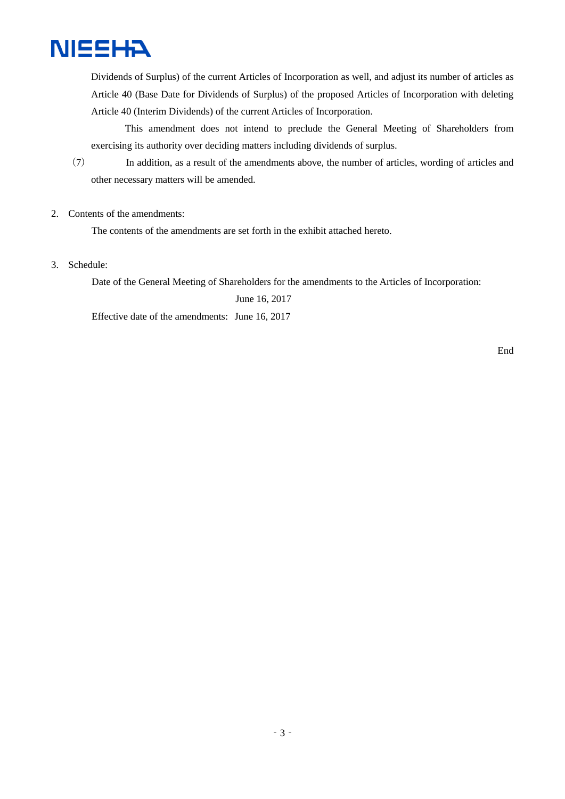

Dividends of Surplus) of the current Articles of Incorporation as well, and adjust its number of articles as Article 40 (Base Date for Dividends of Surplus) of the proposed Articles of Incorporation with deleting Article 40 (Interim Dividends) of the current Articles of Incorporation.

This amendment does not intend to preclude the General Meeting of Shareholders from exercising its authority over deciding matters including dividends of surplus.

- (7) In addition, as a result of the amendments above, the number of articles, wording of articles and other necessary matters will be amended.
- 2. Contents of the amendments:

The contents of the amendments are set forth in the exhibit attached hereto.

3. Schedule:

Date of the General Meeting of Shareholders for the amendments to the Articles of Incorporation:

June 16, 2017

Effective date of the amendments: June 16, 2017

End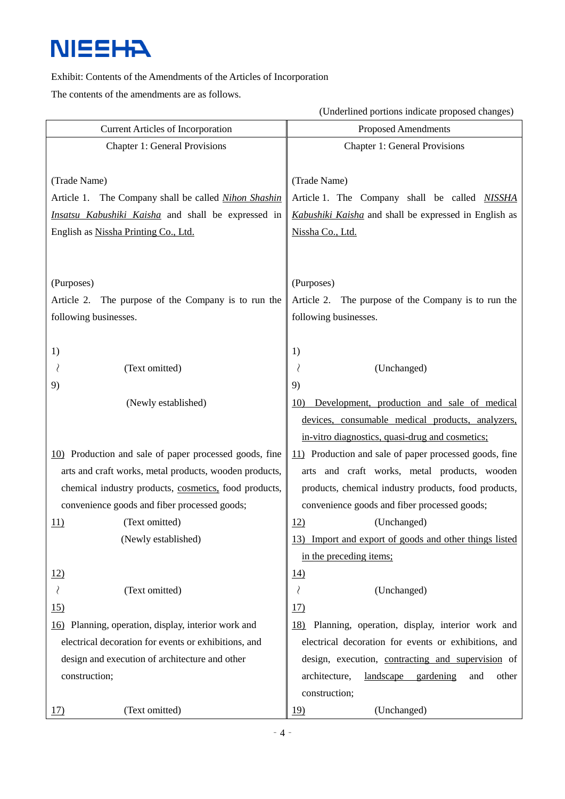#### Exhibit: Contents of the Amendments of the Articles of Incorporation

The contents of the amendments are as follows.

(Underlined portions indicate proposed changes)

| <b>Current Articles of Incorporation</b>               | <b>Proposed Amendments</b>                                |
|--------------------------------------------------------|-----------------------------------------------------------|
| <b>Chapter 1: General Provisions</b>                   | <b>Chapter 1: General Provisions</b>                      |
|                                                        |                                                           |
| (Trade Name)                                           | (Trade Name)                                              |
| Article 1. The Company shall be called Nihon Shashin   | Article 1. The Company shall be called NISSHA             |
| Insatsu Kabushiki Kaisha and shall be expressed in     | Kabushiki Kaisha and shall be expressed in English as     |
| English as Nissha Printing Co., Ltd.                   | Nissha Co., Ltd.                                          |
|                                                        |                                                           |
|                                                        |                                                           |
| (Purposes)                                             | (Purposes)                                                |
| The purpose of the Company is to run the<br>Article 2. | Article 2. The purpose of the Company is to run the       |
| following businesses.                                  | following businesses.                                     |
|                                                        |                                                           |
| 1)                                                     | 1)                                                        |
| (Text omitted)                                         | (Unchanged)                                               |
| 9)                                                     | 9)                                                        |
| (Newly established)                                    | Development, production and sale of medical<br>10)        |
|                                                        | devices, consumable medical products, analyzers,          |
|                                                        | in-vitro diagnostics, quasi-drug and cosmetics;           |
| 10) Production and sale of paper processed goods, fine | 11) Production and sale of paper processed goods, fine    |
| arts and craft works, metal products, wooden products, | arts and craft works, metal products, wooden              |
| chemical industry products, cosmetics, food products,  | products, chemical industry products, food products,      |
| convenience goods and fiber processed goods;           | convenience goods and fiber processed goods;              |
| (Text omitted)<br><u>11)</u>                           | (Unchanged)<br>12)                                        |
| (Newly established)                                    | Import and export of goods and other things listed<br>13) |
|                                                        | in the preceding items;                                   |
| 12)                                                    | <u>14)</u>                                                |
| (Text omitted)                                         | ₹<br>(Unchanged)                                          |
| 15)                                                    | <u>17)</u>                                                |
| 16) Planning, operation, display, interior work and    | Planning, operation, display, interior work and<br>18)    |
| electrical decoration for events or exhibitions, and   | electrical decoration for events or exhibitions, and      |
| design and execution of architecture and other         | design, execution, contracting and supervision of         |
| construction;                                          | architecture,<br>landscape<br>gardening<br>and<br>other   |
|                                                        | construction;                                             |
| (Text omitted)<br><u>17)</u>                           | (Unchanged)<br><u> 19)</u>                                |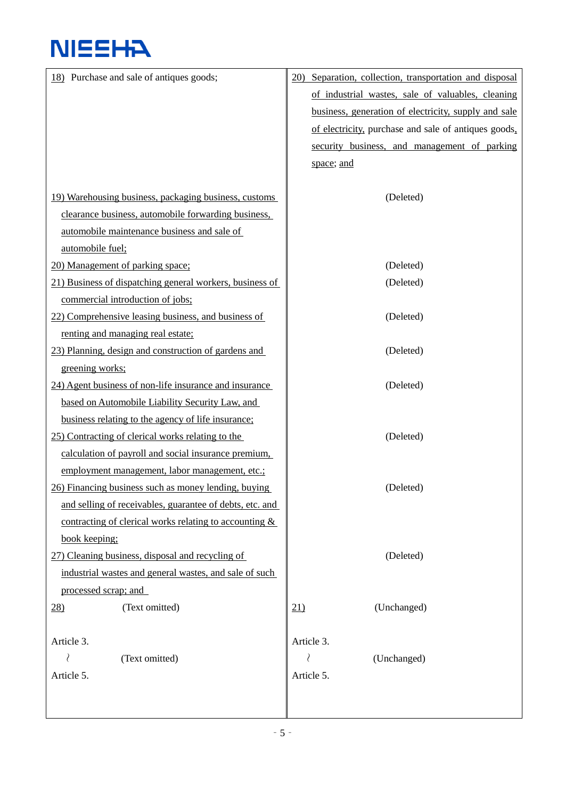| 18) Purchase and sale of antiques goods;                  | 20) Separation, collection, transportation and disposal |
|-----------------------------------------------------------|---------------------------------------------------------|
|                                                           | of industrial wastes, sale of valuables, cleaning       |
|                                                           | business, generation of electricity, supply and sale    |
|                                                           | of electricity, purchase and sale of antiques goods,    |
|                                                           | security business, and management of parking            |
|                                                           | space; and                                              |
|                                                           |                                                         |
| 19) Warehousing business, packaging business, customs     | (Deleted)                                               |
| clearance business, automobile forwarding business,       |                                                         |
| automobile maintenance business and sale of               |                                                         |
| automobile fuel;                                          |                                                         |
| 20) Management of parking space:                          | (Deleted)                                               |
| 21) Business of dispatching general workers, business of  | (Deleted)                                               |
| commercial introduction of jobs;                          |                                                         |
| 22) Comprehensive leasing business, and business of       | (Deleted)                                               |
| renting and managing real estate;                         |                                                         |
| 23) Planning, design and construction of gardens and      | (Deleted)                                               |
| greening works;                                           |                                                         |
| 24) Agent business of non-life insurance and insurance    | (Deleted)                                               |
| based on Automobile Liability Security Law, and           |                                                         |
| business relating to the agency of life insurance;        |                                                         |
| 25) Contracting of clerical works relating to the         | (Deleted)                                               |
| calculation of payroll and social insurance premium,      |                                                         |
| employment management, labor management, etc.;            |                                                         |
| 26) Financing business such as money lending, buying      | (Deleted)                                               |
| and selling of receivables, guarantee of debts, etc. and  |                                                         |
| contracting of clerical works relating to accounting $\&$ |                                                         |
| book keeping;                                             |                                                         |
| 27) Cleaning business, disposal and recycling of          | (Deleted)                                               |
| industrial wastes and general wastes, and sale of such    |                                                         |
| processed scrap; and                                      |                                                         |
| (Text omitted)<br>$\frac{28}{2}$                          | (Unchanged)<br>21)                                      |
|                                                           |                                                         |
| Article 3.                                                | Article 3.                                              |
| ₹<br>(Text omitted)                                       | ₹<br>(Unchanged)                                        |
| Article 5.                                                | Article 5.                                              |
|                                                           |                                                         |
|                                                           |                                                         |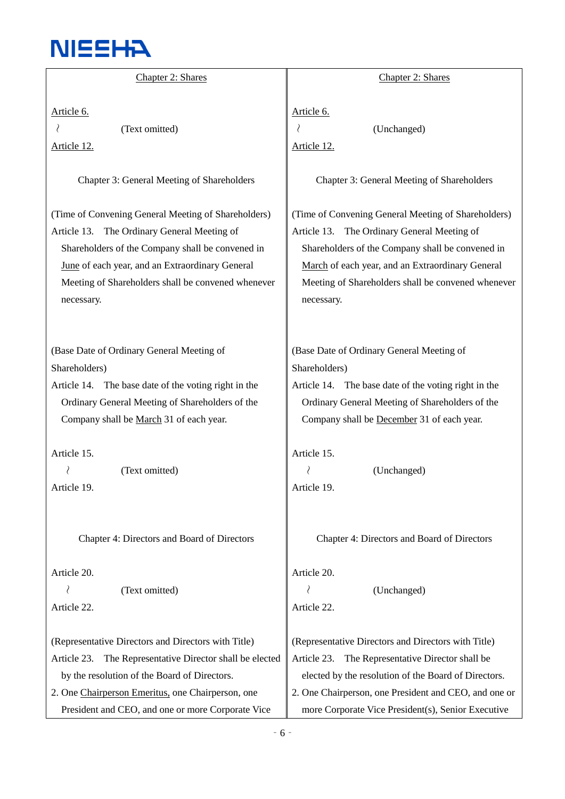

| Chapter 2: Shares                                                                                                                                                                                                                                                             | Chapter 2: Shares                                                                                                                                                                                                                                                                 |
|-------------------------------------------------------------------------------------------------------------------------------------------------------------------------------------------------------------------------------------------------------------------------------|-----------------------------------------------------------------------------------------------------------------------------------------------------------------------------------------------------------------------------------------------------------------------------------|
| Article 6.                                                                                                                                                                                                                                                                    | Article 6.                                                                                                                                                                                                                                                                        |
| (Text omitted)                                                                                                                                                                                                                                                                | (Unchanged)                                                                                                                                                                                                                                                                       |
| <u>Article 12.</u>                                                                                                                                                                                                                                                            | Article 12.                                                                                                                                                                                                                                                                       |
| Chapter 3: General Meeting of Shareholders                                                                                                                                                                                                                                    | Chapter 3: General Meeting of Shareholders                                                                                                                                                                                                                                        |
| (Time of Convening General Meeting of Shareholders)<br>Article 13. The Ordinary General Meeting of<br>Shareholders of the Company shall be convened in<br>June of each year, and an Extraordinary General<br>Meeting of Shareholders shall be convened whenever<br>necessary. | (Time of Convening General Meeting of Shareholders)<br>The Ordinary General Meeting of<br>Article 13.<br>Shareholders of the Company shall be convened in<br>March of each year, and an Extraordinary General<br>Meeting of Shareholders shall be convened whenever<br>necessary. |
| (Base Date of Ordinary General Meeting of                                                                                                                                                                                                                                     | (Base Date of Ordinary General Meeting of                                                                                                                                                                                                                                         |
| Shareholders)                                                                                                                                                                                                                                                                 | Shareholders)                                                                                                                                                                                                                                                                     |
| Article 14. The base date of the voting right in the                                                                                                                                                                                                                          | Article 14. The base date of the voting right in the                                                                                                                                                                                                                              |
| Ordinary General Meeting of Shareholders of the                                                                                                                                                                                                                               | Ordinary General Meeting of Shareholders of the                                                                                                                                                                                                                                   |
| Company shall be March 31 of each year.                                                                                                                                                                                                                                       | Company shall be December 31 of each year.                                                                                                                                                                                                                                        |
| Article 15.                                                                                                                                                                                                                                                                   | Article 15.                                                                                                                                                                                                                                                                       |
| (Text omitted)                                                                                                                                                                                                                                                                | (Unchanged)                                                                                                                                                                                                                                                                       |
| Article 19.                                                                                                                                                                                                                                                                   | Article 19.                                                                                                                                                                                                                                                                       |
| Chapter 4: Directors and Board of Directors                                                                                                                                                                                                                                   | Chapter 4: Directors and Board of Directors                                                                                                                                                                                                                                       |
| Article 20.<br>₹<br>(Text omitted)<br>Article 22.                                                                                                                                                                                                                             | Article 20.<br>(Unchanged)<br>Article 22.                                                                                                                                                                                                                                         |
| (Representative Directors and Directors with Title)                                                                                                                                                                                                                           | (Representative Directors and Directors with Title)                                                                                                                                                                                                                               |
| The Representative Director shall be elected                                                                                                                                                                                                                                  | Article 23.                                                                                                                                                                                                                                                                       |
| Article 23.                                                                                                                                                                                                                                                                   | The Representative Director shall be                                                                                                                                                                                                                                              |
| by the resolution of the Board of Directors.                                                                                                                                                                                                                                  | elected by the resolution of the Board of Directors.                                                                                                                                                                                                                              |
| 2. One Chairperson Emeritus, one Chairperson, one                                                                                                                                                                                                                             | 2. One Chairperson, one President and CEO, and one or                                                                                                                                                                                                                             |
| President and CEO, and one or more Corporate Vice                                                                                                                                                                                                                             | more Corporate Vice President(s), Senior Executive                                                                                                                                                                                                                                |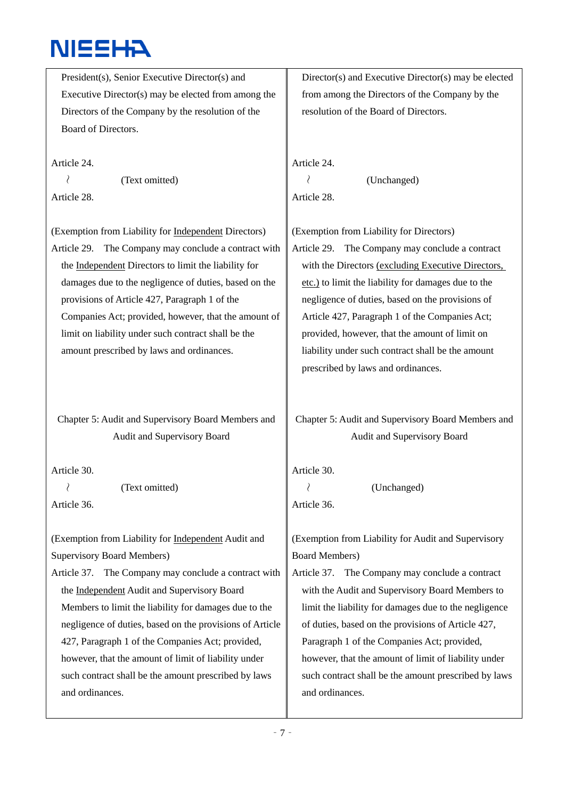President(s), Senior Executive Director(s) and Executive Director(s) may be elected from among the Directors of the Company by the resolution of the Board of Directors.

Article 24. ~ (Text omitted) Article 28.

(Exemption from Liability for Independent Directors) Article 29. The Company may conclude a contract with the Independent Directors to limit the liability for damages due to the negligence of duties, based on the provisions of Article 427, Paragraph 1 of the Companies Act; provided, however, that the amount of limit on liability under such contract shall be the amount prescribed by laws and ordinances.

Chapter 5: Audit and Supervisory Board Members and Audit and Supervisory Board

Article 30.

 $\langle$  (Text omitted) Article 36.

(Exemption from Liability for Independent Audit and Supervisory Board Members)

Article 37. The Company may conclude a contract with the Independent Audit and Supervisory Board Members to limit the liability for damages due to the negligence of duties, based on the provisions of Article 427, Paragraph 1 of the Companies Act; provided, however, that the amount of limit of liability under such contract shall be the amount prescribed by laws and ordinances.

Director(s) and Executive Director(s) may be elected from among the Directors of the Company by the resolution of the Board of Directors.

Article 24.

~ (Unchanged) Article 28.

(Exemption from Liability for Directors)

Article 29. The Company may conclude a contract with the Directors (excluding Executive Directors, etc.) to limit the liability for damages due to the negligence of duties, based on the provisions of Article 427, Paragraph 1 of the Companies Act; provided, however, that the amount of limit on liability under such contract shall be the amount prescribed by laws and ordinances.

Chapter 5: Audit and Supervisory Board Members and Audit and Supervisory Board

Article 30.

 $\langle$  (Unchanged) Article 36.

(Exemption from Liability for Audit and Supervisory Board Members)

Article 37. The Company may conclude a contract with the Audit and Supervisory Board Members to limit the liability for damages due to the negligence of duties, based on the provisions of Article 427, Paragraph 1 of the Companies Act; provided, however, that the amount of limit of liability under such contract shall be the amount prescribed by laws and ordinances.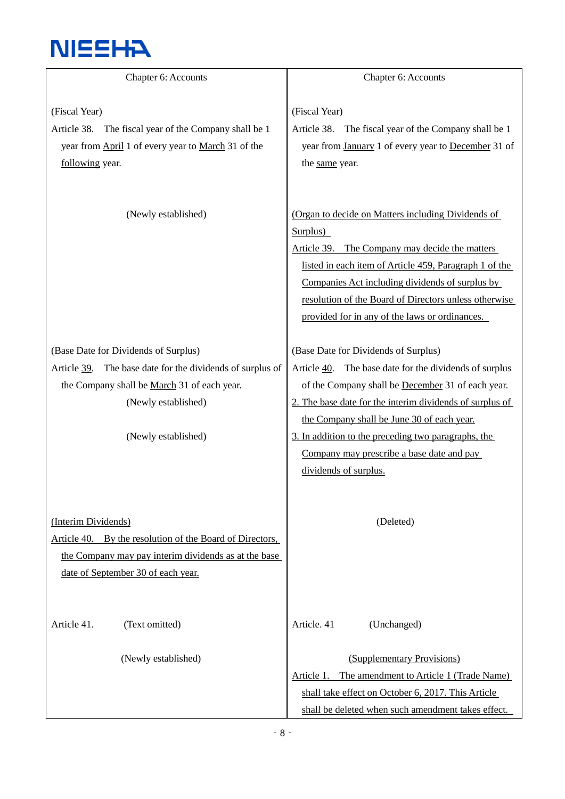

| Chapter 6: Accounts                                                                                                                                                                            | Chapter 6: Accounts                                                                                                                                                                                                                                                                                                                      |
|------------------------------------------------------------------------------------------------------------------------------------------------------------------------------------------------|------------------------------------------------------------------------------------------------------------------------------------------------------------------------------------------------------------------------------------------------------------------------------------------------------------------------------------------|
| (Fiscal Year)<br>Article 38. The fiscal year of the Company shall be 1<br>year from April 1 of every year to March 31 of the<br>following year.                                                | (Fiscal Year)<br>Article 38. The fiscal year of the Company shall be 1<br>year from January 1 of every year to December 31 of<br>the same year.                                                                                                                                                                                          |
| (Newly established)                                                                                                                                                                            | (Organ to decide on Matters including Dividends of<br>Surplus)<br>Article 39. The Company may decide the matters<br>listed in each item of Article 459, Paragraph 1 of the<br>Companies Act including dividends of surplus by<br>resolution of the Board of Directors unless otherwise<br>provided for in any of the laws or ordinances. |
| (Base Date for Dividends of Surplus)<br>Article 39. The base date for the dividends of surplus of<br>the Company shall be March 31 of each year.<br>(Newly established)<br>(Newly established) | (Base Date for Dividends of Surplus)<br>Article 40. The base date for the dividends of surplus<br>of the Company shall be December 31 of each year.<br>2. The base date for the interim dividends of surplus of<br>the Company shall be June 30 of each year.<br>3. In addition to the preceding two paragraphs, the                     |
| (Interim Dividends)<br>Article 40. By the resolution of the Board of Directors,<br>the Company may pay interim dividends as at the base<br>date of September 30 of each year.                  | Company may prescribe a base date and pay<br>dividends of surplus.<br>(Deleted)                                                                                                                                                                                                                                                          |
| Article 41.<br>(Text omitted)<br>(Newly established)                                                                                                                                           | Article. 41<br>(Unchanged)<br>(Supplementary Provisions)<br>The amendment to Article 1 (Trade Name)<br>Article 1.<br>shall take effect on October 6, 2017. This Article<br>shall be deleted when such amendment takes effect.                                                                                                            |